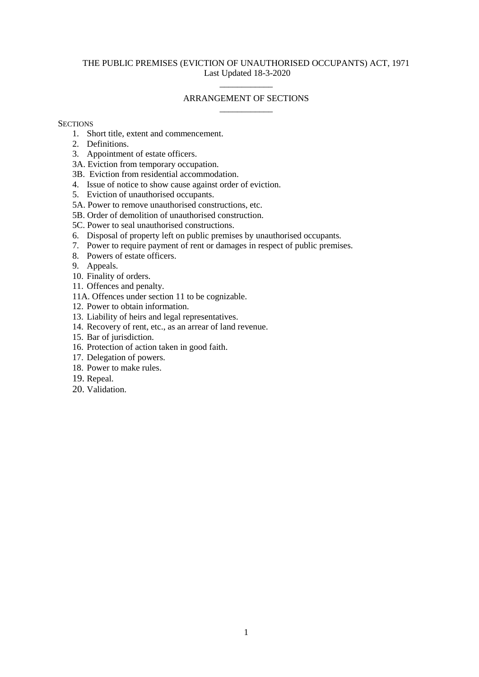### THE PUBLIC PREMISES (EVICTION OF UNAUTHORISED OCCUPANTS) ACT, 1971 Last Updated 18-3-2020

# \_\_\_\_\_\_\_\_\_\_\_\_ ARRANGEMENT OF SECTIONS \_\_\_\_\_\_\_\_\_\_\_\_

#### **SECTIONS**

- 1. Short title, extent and commencement.
- 2. Definitions.
- 3. Appointment of estate officers.
- 3A. Eviction from temporary occupation.
- 3B. Eviction from residential accommodation.
- 4. Issue of notice to show cause against order of eviction.
- 5. Eviction of unauthorised occupants.
- 5A. Power to remove unauthorised constructions, etc.
- 5B. Order of demolition of unauthorised construction.
- 5C. Power to seal unauthorised constructions.
- 6. Disposal of property left on public premises by unauthorised occupants.
- 7. Power to require payment of rent or damages in respect of public premises.
- 8. Powers of estate officers.
- 9. Appeals.
- 10. Finality of orders.
- 11. Offences and penalty.
- 11A. Offences under section 11 to be cognizable.
- 12. Power to obtain information.
- 13. Liability of heirs and legal representatives.
- 14. Recovery of rent, etc., as an arrear of land revenue.
- 15. Bar of jurisdiction.
- 16. Protection of action taken in good faith.
- 17. Delegation of powers.
- 18. Power to make rules.
- 19. Repeal.
- 20. Validation.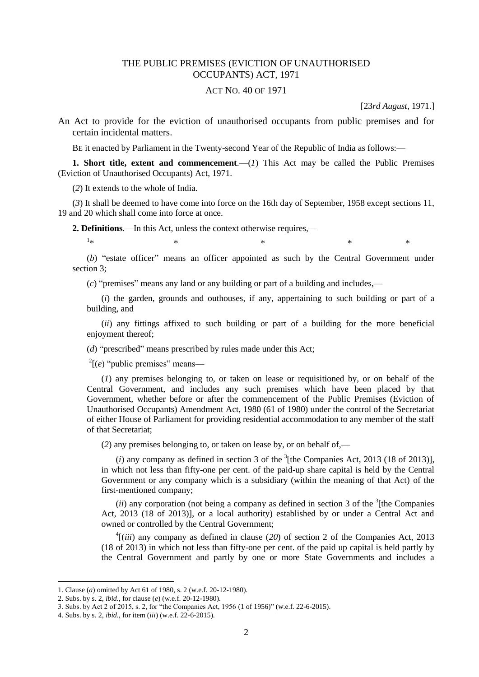## THE PUBLIC PREMISES (EVICTION OF UNAUTHORISED OCCUPANTS) ACT, 1971

#### ACT NO. 40 OF 1971

[23*rd August*, 1971.]

An Act to provide for the eviction of unauthorised occupants from public premises and for certain incidental matters.

BE it enacted by Parliament in the Twenty-second Year of the Republic of India as follows:—

**1. Short title, extent and commencement**.—(*1*) This Act may be called the Public Premises (Eviction of Unauthorised Occupants) Act, 1971.

(*2*) It extends to the whole of India.

(*3*) It shall be deemed to have come into force on the 16th day of September, 1958 except sections 11, 19 and 20 which shall come into force at once.

**2. Definitions**.—In this Act, unless the context otherwise requires,—

 $1_{\ast}$  $*$   $*$   $*$   $*$   $*$ 

(*b*) "estate officer" means an officer appointed as such by the Central Government under section 3;

(*c*) "premises" means any land or any building or part of a building and includes,—

(*i*) the garden, grounds and outhouses, if any, appertaining to such building or part of a building, and

(*ii*) any fittings affixed to such building or part of a building for the more beneficial enjoyment thereof;

(*d*) "prescribed" means prescribed by rules made under this Act;

 $2^2$ [ $(e)$  "public premises" means—

(*1*) any premises belonging to, or taken on lease or requisitioned by, or on behalf of the Central Government, and includes any such premises which have been placed by that Government, whether before or after the commencement of the Public Premises (Eviction of Unauthorised Occupants) Amendment Act, 1980 (61 of 1980) under the control of the Secretariat of either House of Parliament for providing residential accommodation to any member of the staff of that Secretariat;

(*2*) any premises belonging to, or taken on lease by, or on behalf of,—

 $(i)$  any company as defined in section 3 of the  $3$ <sup>1</sup> [the Companies Act, 2013 (18 of 2013)], in which not less than fifty-one per cent. of the paid-up share capital is held by the Central Government or any company which is a subsidiary (within the meaning of that Act) of the first-mentioned company;

 $(ii)$  any corporation (not being a company as defined in section 3 of the  $3$ <sup>1</sup>[the Companies] Act, 2013 (18 of 2013)], or a local authority) established by or under a Central Act and owned or controlled by the Central Government;

 $\frac{4}{i}$  (*iii*) any company as defined in clause (20) of section 2 of the Companies Act, 2013 (18 of 2013) in which not less than fifty-one per cent. of the paid up capital is held partly by the Central Government and partly by one or more State Governments and includes a

**.** 

<sup>1.</sup> Clause (*a*) omitted by Act 61 of 1980, s. 2 (w.e.f. 20-12-1980).

<sup>2.</sup> Subs. by s. 2, *ibid*., for clause (*e*) (w.e.f. 20-12-1980).

<sup>3.</sup> Subs. by Act 2 of 2015, s. 2, for "the Companies Act, 1956 (1 of 1956)" (w.e.f. 22-6-2015).

<sup>4.</sup> Subs. by s. 2, *ibid*., for item (*iii*) (w.e.f. 22-6-2015).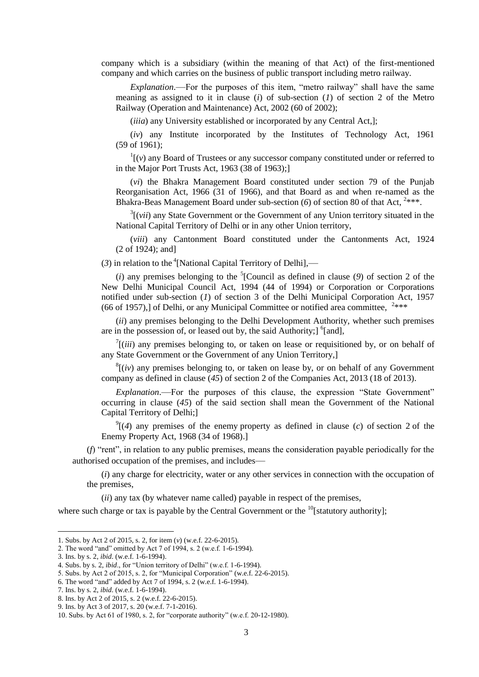company which is a subsidiary (within the meaning of that Act) of the first-mentioned company and which carries on the business of public transport including metro railway.

*Explanation*.—For the purposes of this item, "metro railway" shall have the same meaning as assigned to it in clause (*i*) of sub-section (*1*) of section 2 of the Metro Railway (Operation and Maintenance) Act, 2002 (60 of 2002);

(*iiia*) any University established or incorporated by any Central Act,];

(*iv*) any Institute incorporated by the Institutes of Technology Act, 1961 (59 of 1961);

 $\Gamma$ <sup>1</sup>[( $\nu$ ) any Board of Trustees or any successor company constituted under or referred to in the Major Port Trusts Act, 1963 (38 of 1963);]

(*vi*) the Bhakra Management Board constituted under section 79 of the Punjab Reorganisation Act, 1966 (31 of 1966), and that Board as and when re-named as the Bhakra-Beas Management Board under sub-section (6) of section 80 of that Act, <sup>2\*\*\*</sup>.

 $3$ [(*vii*) any State Government or the Government of any Union territory situated in the National Capital Territory of Delhi or in any other Union territory,

(*viii*) any Cantonment Board constituted under the Cantonments Act, 1924 (2 of 1924); and]

 $(3)$  in relation to the <sup>4</sup>[National Capital Territory of Delhi],—

 $(i)$  any premises belonging to the <sup>5</sup>[Council as defined in clause  $(9)$  of section 2 of the New Delhi Municipal Council Act, 1994 (44 of 1994) or Corporation or Corporations notified under sub-section (*1*) of section 3 of the Delhi Municipal Corporation Act, 1957 (66 of 1957),] of Delhi, or any Municipal Committee or notified area committee,  $2***$ 

(*ii*) any premises belonging to the Delhi Development Authority, whether such premises are in the possession of, or leased out by, the said Authority; $\int$ <sup>6</sup>[and],

 $\int$ <sup>7</sup>[(*iii*) any premises belonging to, or taken on lease or requisitioned by, or on behalf of any State Government or the Government of any Union Territory,]

 $\frac{8}{v}$  (*iv*) any premises belonging to, or taken on lease by, or on behalf of any Government company as defined in clause (*45*) of section 2 of the Companies Act, 2013 (18 of 2013).

*Explanation*.—For the purposes of this clause, the expression "State Government" occurring in clause (*45*) of the said section shall mean the Government of the National Capital Territory of Delhi;]

 $^{9}$ [(4) any premises of the enemy property as defined in clause (*c*) of section 2 of the Enemy Property Act, 1968 (34 of 1968).]

(*f*) "rent", in relation to any public premises, means the consideration payable periodically for the authorised occupation of the premises, and includes—

(*i*) any charge for electricity, water or any other services in connection with the occupation of the premises,

(*ii*) any tax (by whatever name called) payable in respect of the premises,

where such charge or tax is payable by the Central Government or the  $^{10}$ [statutory authority];

<sup>1.</sup> Subs. by Act 2 of 2015, s. 2, for item (*v*) (w.e.f. 22-6-2015).

<sup>2.</sup> The word "and" omitted by Act 7 of 1994, s. 2 (w.e.f. 1-6-1994).

<sup>3.</sup> Ins. by s. 2, *ibid*. (w.e.f. 1-6-1994).

<sup>4.</sup> Subs. by s. 2, *ibid*., for "Union territory of Delhi" (w.e.f. 1-6-1994).

<sup>5.</sup> Subs. by Act 2 of 2015, s. 2, for "Municipal Corporation" (w.e.f. 22-6-2015).

<sup>6.</sup> The word "and" added by Act 7 of 1994, s. 2 (w.e.f. 1-6-1994).

<sup>7.</sup> Ins. by s. 2, *ibid*. (w.e.f. 1-6-1994).

<sup>8.</sup> Ins. by Act 2 of 2015, s. 2 (w.e.f. 22-6-2015).

<sup>9.</sup> Ins. by Act 3 of 2017, s. 20 (w.e.f. 7-1-2016).

<sup>10.</sup> Subs. by Act 61 of 1980, s. 2, for "corporate authority" (w.e.f. 20-12-1980).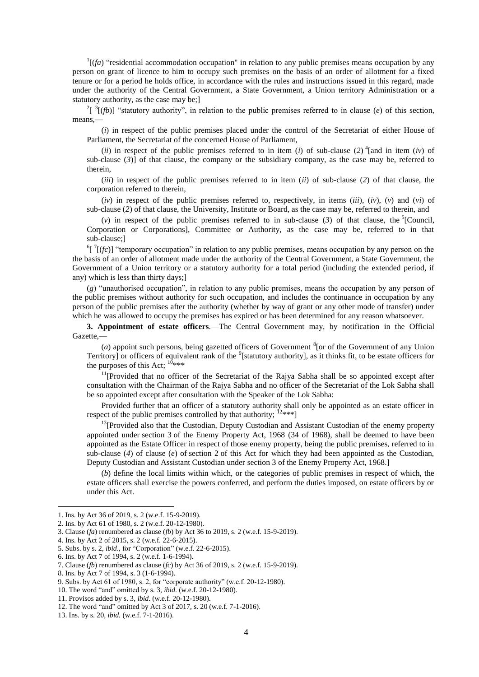$\frac{1}{f}$  "residential accommodation occupation" in relation to any public premises means occupation by any person on grant of licence to him to occupy such premises on the basis of an order of allotment for a fixed tenure or for a period he holds office, in accordance with the rules and instructions issued in this regard, made under the authority of the Central Government, a State Government, a Union territory Administration or a statutory authority, as the case may be;]

<sup>2</sup>[ $\frac{3}{f}$ [(*fb*)] "statutory authority", in relation to the public premises referred to in clause (*e*) of this section, means,—

(*i*) in respect of the public premises placed under the control of the Secretariat of either House of Parliament, the Secretariat of the concerned House of Parliament,

(*ii*) in respect of the public premises referred to in item (*i*) of sub-clause (2)<sup>4</sup> [and in item (*iv*) of sub-clause (*3*)] of that clause, the company or the subsidiary company, as the case may be, referred to therein,

(*iii*) in respect of the public premises referred to in item (*ii*) of sub-clause (*2*) of that clause, the corporation referred to therein,

(*iv*) in respect of the public premises referred to, respectively, in items (*iii*), (*iv*), (*v*) and (*vi*) of sub-clause (*2*) of that clause, the University, Institute or Board, as the case may be, referred to therein, and

(*v*) in respect of the public premises referred to in sub-clause (3) of that clause, the  ${}^{5}$ [Council, Corporation or Corporations], Committee or Authority, as the case may be, referred to in that sub-clause;]

 ${}^{6}$ [ ${}^{7}$ [(*fc*)] "temporary occupation" in relation to any public premises, means occupation by any person on the the basis of an order of allotment made under the authority of the Central Government, a State Government, the Government of a Union territory or a statutory authority for a total period (including the extended period, if any) which is less than thirty days;]

(*g*) "unauthorised occupation", in relation to any public premises, means the occupation by any person of the public premises without authority for such occupation, and includes the continuance in occupation by any person of the public premises after the authority (whether by way of grant or any other mode of transfer) under which he was allowed to occupy the premises has expired or has been determined for any reason whatsoever.

**3. Appointment of estate officers**.—The Central Government may, by notification in the Official Gazette,—

( $a$ ) appoint such persons, being gazetted officers of Government  ${}^{8}$  [or of the Government of any Union Territory] or officers of equivalent rank of the <sup>9</sup>[statutory authority], as it thinks fit, to be estate officers for the purposes of this Act:  $10***$ 

 $11$ [Provided that no officer of the Secretariat of the Raiva Sabha shall be so appointed except after consultation with the Chairman of the Rajya Sabha and no officer of the Secretariat of the Lok Sabha shall be so appointed except after consultation with the Speaker of the Lok Sabha:

Provided further that an officer of a statutory authority shall only be appointed as an estate officer in respect of the public premises controlled by that authority;  $[2***]$ 

 $13$ [Provided also that the Custodian, Deputy Custodian and Assistant Custodian of the enemy property appointed under section 3 of the Enemy Property Act, 1968 (34 of 1968), shall be deemed to have been appointed as the Estate Officer in respect of those enemy property, being the public premises, referred to in sub-clause (*4*) of clause (*e*) of section 2 of this Act for which they had been appointed as the Custodian, Deputy Custodian and Assistant Custodian under section 3 of the Enemy Property Act, 1968.]

(*b*) define the local limits within which, or the categories of public premises in respect of which, the estate officers shall exercise the powers conferred, and perform the duties imposed, on estate officers by or under this Act.

<sup>1.</sup> Ins. by Act 36 of 2019, s. 2 (w.e.f. 15-9-2019).

<sup>2.</sup> Ins. by Act 61 of 1980, s. 2 (w.e.f. 20-12-1980).

<sup>3.</sup> Clause (*fa*) renumbered as clause (*fb*) by Act 36 to 2019, s. 2 (w.e.f. 15-9-2019).

<sup>4.</sup> Ins. by Act 2 of 2015, s. 2 (w.e.f. 22-6-2015).

<sup>5.</sup> Subs. by s. 2, *ibid*., for "Corporation" (w.e.f. 22-6-2015).

<sup>6.</sup> Ins. by Act 7 of 1994, s. 2 (w.e.f. 1-6-1994).

<sup>7.</sup> Clause (*fb*) renumbered as clause (*fc*) by Act 36 of 2019, s. 2 (w.e.f. 15-9-2019).

<sup>8.</sup> Ins. by Act 7 of 1994, s. 3 (1-6-1994).

<sup>9.</sup> Subs. by Act 61 of 1980, s. 2, for "corporate authority" (w.e.f. 20-12-1980).

<sup>10.</sup> The word "and" omitted by s. 3, *ibid*. (w.e.f. 20-12-1980).

<sup>11.</sup> Provisos added by s. 3, *ibid*. (w.e.f. 20-12-1980).

<sup>12.</sup> The word "and" omitted by Act 3 of 2017, s. 20 (w.e.f. 7-1-2016).

<sup>13.</sup> Ins. by s. 20, *ibid.* (w.e.f. 7-1-2016).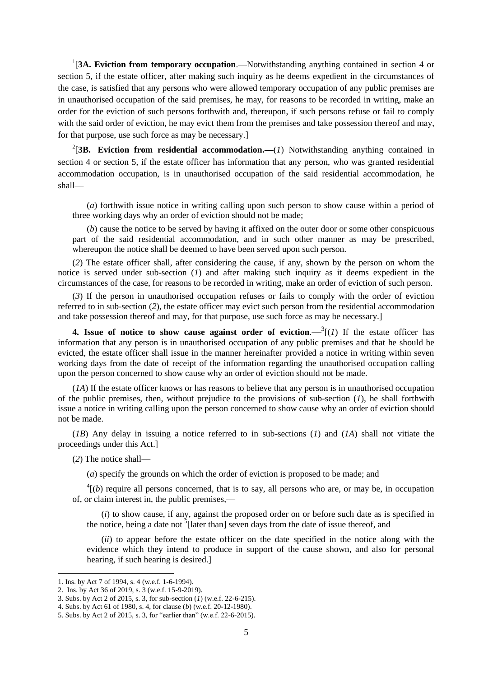<sup>1</sup>[3A. Eviction from temporary occupation.—Notwithstanding anything contained in section 4 or section 5, if the estate officer, after making such inquiry as he deems expedient in the circumstances of the case, is satisfied that any persons who were allowed temporary occupation of any public premises are in unauthorised occupation of the said premises, he may, for reasons to be recorded in writing, make an order for the eviction of such persons forthwith and, thereupon, if such persons refuse or fail to comply with the said order of eviction, he may evict them from the premises and take possession thereof and may, for that purpose, use such force as may be necessary.]

<sup>2</sup>[3B. Eviction from residential accommodation.— $(I)$  Notwithstanding anything contained in section 4 or section 5, if the estate officer has information that any person, who was granted residential accommodation occupation, is in unauthorised occupation of the said residential accommodation, he shall—

(*a*) forthwith issue notice in writing calling upon such person to show cause within a period of three working days why an order of eviction should not be made;

(*b*) cause the notice to be served by having it affixed on the outer door or some other conspicuous part of the said residential accommodation, and in such other manner as may be prescribed, whereupon the notice shall be deemed to have been served upon such person.

(*2*) The estate officer shall, after considering the cause, if any, shown by the person on whom the notice is served under sub-section (*1*) and after making such inquiry as it deems expedient in the circumstances of the case, for reasons to be recorded in writing, make an order of eviction of such person.

(*3*) If the person in unauthorised occupation refuses or fails to comply with the order of eviction referred to in sub-section (*2*), the estate officer may evict such person from the residential accommodation and take possession thereof and may, for that purpose, use such force as may be necessary.]

**4.** Issue of notice to show cause against order of eviction.  $\frac{3}{1}$  If the estate officer has information that any person is in unauthorised occupation of any public premises and that he should be evicted, the estate officer shall issue in the manner hereinafter provided a notice in writing within seven working days from the date of receipt of the information regarding the unauthorised occupation calling upon the person concerned to show cause why an order of eviction should not be made.

(*1A*) If the estate officer knows or has reasons to believe that any person is in unauthorised occupation of the public premises, then, without prejudice to the provisions of sub-section (*1*), he shall forthwith issue a notice in writing calling upon the person concerned to show cause why an order of eviction should not be made.

(*1B*) Any delay in issuing a notice referred to in sub-sections (*1*) and (*1A*) shall not vitiate the proceedings under this Act.]

(*2*) The notice shall—

(*a*) specify the grounds on which the order of eviction is proposed to be made; and

 $<sup>4</sup>[(b)$  require all persons concerned, that is to say, all persons who are, or may be, in occupation</sup> of, or claim interest in, the public premises,—

(*i*) to show cause, if any, against the proposed order on or before such date as is specified in the notice, being a date not  $\frac{5}{3}$  [later than] seven days from the date of issue thereof, and

(*ii*) to appear before the estate officer on the date specified in the notice along with the evidence which they intend to produce in support of the cause shown, and also for personal hearing, if such hearing is desired.]

<sup>1.</sup> Ins. by Act 7 of 1994, s. 4 (w.e.f. 1-6-1994).

<sup>2.</sup> Ins. by Act 36 of 2019, s. 3 (w.e.f. 15-9-2019).

<sup>3.</sup> Subs. by Act 2 of 2015, s. 3, for sub-section (*1*) (w.e.f. 22-6-215).

<sup>4.</sup> Subs. by Act 61 of 1980, s. 4, for clause (*b*) (w.e.f. 20-12-1980).

<sup>5.</sup> Subs. by Act 2 of 2015, s. 3, for "earlier than" (w.e.f. 22-6-2015).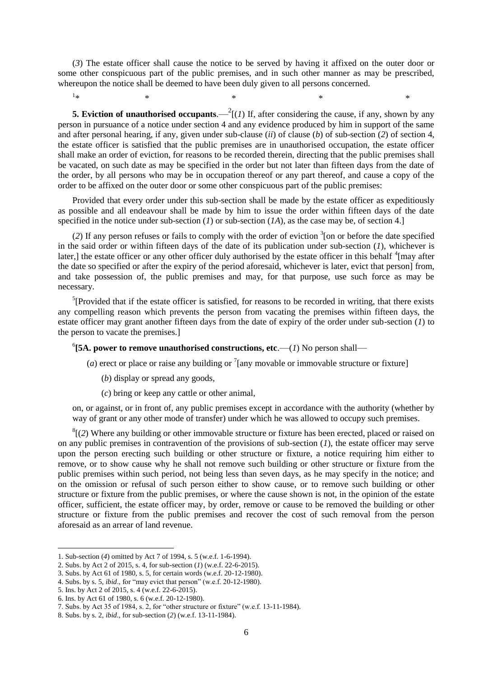(*3*) The estate officer shall cause the notice to be served by having it affixed on the outer door or some other conspicuous part of the public premises, and in such other manner as may be prescribed, whereupon the notice shall be deemed to have been duly given to all persons concerned.

 $1 +$  $*$   $*$   $*$   $*$   $*$   $*$   $*$ 

**5. Eviction of unauthorised occupants**.  $-{}^{2}$ [(*1*) If, after considering the cause, if any, shown by any person in pursuance of a notice under section 4 and any evidence produced by him in support of the same and after personal hearing, if any, given under sub-clause (*ii*) of clause (*b*) of sub-section (*2*) of section 4, the estate officer is satisfied that the public premises are in unauthorised occupation, the estate officer shall make an order of eviction, for reasons to be recorded therein, directing that the public premises shall be vacated, on such date as may be specified in the order but not later than fifteen days from the date of the order, by all persons who may be in occupation thereof or any part thereof, and cause a copy of the order to be affixed on the outer door or some other conspicuous part of the public premises:

Provided that every order under this sub-section shall be made by the estate officer as expeditiously as possible and all endeavour shall be made by him to issue the order within fifteen days of the date specified in the notice under sub-section  $(I)$  or sub-section  $(IA)$ , as the case may be, of section 4.]

 $(2)$  If any person refuses or fails to comply with the order of eviction  $\frac{3}{2}$  on or before the date specified in the said order or within fifteen days of the date of its publication under sub-section (*1*), whichever is later,] the estate officer or any other officer duly authorised by the estate officer in this behalf  $\rm ^4$ [may after the date so specified or after the expiry of the period aforesaid, whichever is later, evict that person] from, and take possession of, the public premises and may, for that purpose, use such force as may be necessary.

<sup>5</sup>[Provided that if the estate officer is satisfied, for reasons to be recorded in writing, that there exists any compelling reason which prevents the person from vacating the premises within fifteen days, the estate officer may grant another fifteen days from the date of expiry of the order under sub-section (*1*) to the person to vacate the premises.]

 $^{6}$ [5A. power to remove unauthorised constructions, etc.— $(1)$  No person shall—

(*a*) erect or place or raise any building or  $\frac{7}{2}$  [any movable or immovable structure or fixture]

- (*b*) display or spread any goods,
- (*c*) bring or keep any cattle or other animal,

on, or against, or in front of, any public premises except in accordance with the authority (whether by way of grant or any other mode of transfer) under which he was allowed to occupy such premises.

 ${}^{8}$ [(2) Where any building or other immovable structure or fixture has been erected, placed or raised on on any public premises in contravention of the provisions of sub-section (*1*), the estate officer may serve upon the person erecting such building or other structure or fixture, a notice requiring him either to remove, or to show cause why he shall not remove such building or other structure or fixture from the public premises within such period, not being less than seven days, as he may specify in the notice; and on the omission or refusal of such person either to show cause, or to remove such building or other structure or fixture from the public premises, or where the cause shown is not, in the opinion of the estate officer, sufficient, the estate officer may, by order, remove or cause to be removed the building or other structure or fixture from the public premises and recover the cost of such removal from the person aforesaid as an arrear of land revenue.

<sup>1.</sup> Sub-section (*4*) omitted by Act 7 of 1994, s. 5 (w.e.f. 1-6-1994).

<sup>2.</sup> Subs. by Act 2 of 2015, s. 4, for sub-section (*1*) (w.e.f. 22-6-2015).

<sup>3.</sup> Subs. by Act 61 of 1980, s. 5, for certain words (w.e.f. 20-12-1980).

<sup>4.</sup> Subs. by s. 5, *ibid*., for "may evict that person" (w.e.f. 20-12-1980).

<sup>5.</sup> Ins. by Act 2 of 2015, s. 4 (w.e.f. 22-6-2015).

<sup>6.</sup> Ins. by Act 61 of 1980, s. 6 (w.e.f. 20-12-1980).

<sup>7.</sup> Subs. by Act 35 of 1984, s. 2, for "other structure or fixture" (w.e.f. 13-11-1984).

<sup>8.</sup> Subs. by s. 2, *ibid*., for sub-section (*2*) (w.e.f. 13-11-1984).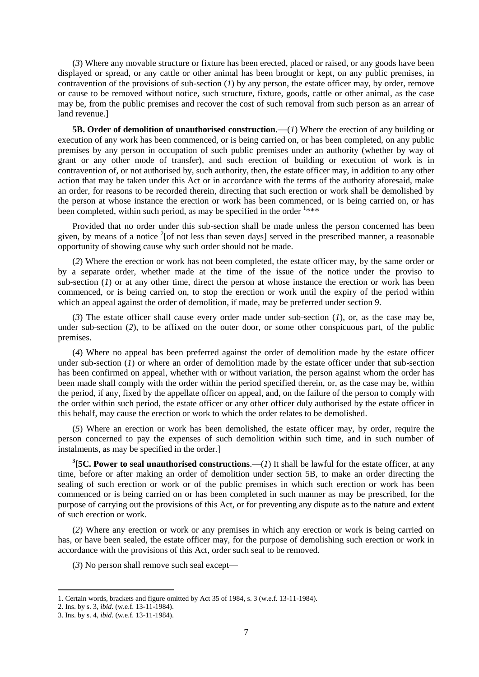(*3*) Where any movable structure or fixture has been erected, placed or raised, or any goods have been displayed or spread, or any cattle or other animal has been brought or kept, on any public premises, in contravention of the provisions of sub-section (*1*) by any person, the estate officer may, by order, remove or cause to be removed without notice, such structure, fixture, goods, cattle or other animal, as the case may be, from the public premises and recover the cost of such removal from such person as an arrear of land revenue.]

**5B. Order of demolition of unauthorised construction.—(1) Where the erection of any building or** execution of any work has been commenced, or is being carried on, or has been completed, on any public premises by any person in occupation of such public premises under an authority (whether by way of grant or any other mode of transfer), and such erection of building or execution of work is in contravention of, or not authorised by, such authority, then, the estate officer may, in addition to any other action that may be taken under this Act or in accordance with the terms of the authority aforesaid, make an order, for reasons to be recorded therein, directing that such erection or work shall be demolished by the person at whose instance the erection or work has been commenced, or is being carried on, or has been completed, within such period, as may be specified in the order  $1***$ 

Provided that no order under this sub-section shall be made unless the person concerned has been given, by means of a notice  $2$ [of not less than seven days] served in the prescribed manner, a reasonable opportunity of showing cause why such order should not be made.

(*2*) Where the erection or work has not been completed, the estate officer may, by the same order or by a separate order, whether made at the time of the issue of the notice under the proviso to sub-section (*I*) or at any other time, direct the person at whose instance the erection or work has been commenced, or is being carried on, to stop the erection or work until the expiry of the period within which an appeal against the order of demolition, if made, may be preferred under section 9.

(*3*) The estate officer shall cause every order made under sub-section (*1*), or, as the case may be, under sub-section (*2*), to be affixed on the outer door, or some other conspicuous part, of the public premises.

(*4*) Where no appeal has been preferred against the order of demolition made by the estate officer under sub-section (*1*) or where an order of demolition made by the estate officer under that sub-section has been confirmed on appeal, whether with or without variation, the person against whom the order has been made shall comply with the order within the period specified therein, or, as the case may be, within the period, if any, fixed by the appellate officer on appeal, and, on the failure of the person to comply with the order within such period, the estate officer or any other officer duly authorised by the estate officer in this behalf, may cause the erection or work to which the order relates to be demolished.

(*5*) Where an erection or work has been demolished, the estate officer may, by order, require the person concerned to pay the expenses of such demolition within such time, and in such number of instalments, as may be specified in the order.]

**3 [5C. Power to seal unauthorised constructions**.—(*1*) It shall be lawful for the estate officer, at any time, before or after making an order of demolition under section 5B, to make an order directing the sealing of such erection or work or of the public premises in which such erection or work has been commenced or is being carried on or has been completed in such manner as may be prescribed, for the purpose of carrying out the provisions of this Act, or for preventing any dispute as to the nature and extent of such erection or work.

(*2*) Where any erection or work or any premises in which any erection or work is being carried on has, or have been sealed, the estate officer may, for the purpose of demolishing such erection or work in accordance with the provisions of this Act, order such seal to be removed.

(*3*) No person shall remove such seal except—

**.** 

<sup>1.</sup> Certain words, brackets and figure omitted by Act 35 of 1984, s. 3 (w.e.f. 13-11-1984).

<sup>2.</sup> Ins. by s. 3, *ibid*. (w.e.f. 13-11-1984).

<sup>3.</sup> Ins. by s. 4, *ibid*. (w.e.f. 13-11-1984).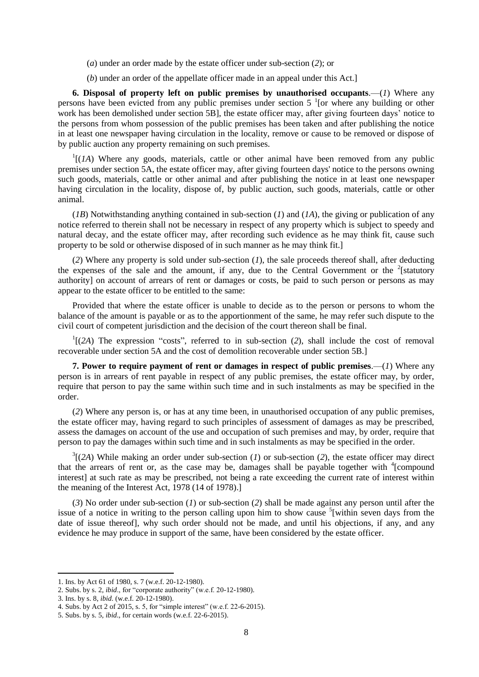- (*a*) under an order made by the estate officer under sub-section (*2*); or
- (*b*) under an order of the appellate officer made in an appeal under this Act.]

**6. Disposal of property left on public premises by unauthorised occupants**.—(*1*) Where any persons have been evicted from any public premises under section  $5<sup>-1</sup>$  [or where any building or other work has been demolished under section 5B], the estate officer may, after giving fourteen days' notice to the persons from whom possession of the public premises has been taken and after publishing the notice in at least one newspaper having circulation in the locality, remove or cause to be removed or dispose of by public auction any property remaining on such premises.

 $\mathcal{L}^1[(I\Lambda)$  Where any goods, materials, cattle or other animal have been removed from any public premises under section 5A, the estate officer may, after giving fourteen days' notice to the persons owning such goods, materials, cattle or other animal and after publishing the notice in at least one newspaper having circulation in the locality, dispose of, by public auction, such goods, materials, cattle or other animal.

(*1B*) Notwithstanding anything contained in sub-section (*1*) and (*1A*), the giving or publication of any notice referred to therein shall not be necessary in respect of any property which is subject to speedy and natural decay, and the estate officer may, after recording such evidence as he may think fit, cause such property to be sold or otherwise disposed of in such manner as he may think fit.]

(*2*) Where any property is sold under sub-section (*1*), the sale proceeds thereof shall, after deducting the expenses of the sale and the amount, if any, due to the Central Government or the  $2$ [statutory] authority] on account of arrears of rent or damages or costs, be paid to such person or persons as may appear to the estate officer to be entitled to the same:

Provided that where the estate officer is unable to decide as to the person or persons to whom the balance of the amount is payable or as to the apportionment of the same, he may refer such dispute to the civil court of competent jurisdiction and the decision of the court thereon shall be final.

 $\Gamma$ <sup>1</sup>[(2A) The expression "costs", referred to in sub-section (2), shall include the cost of removal recoverable under section 5A and the cost of demolition recoverable under section 5B.]

**7. Power to require payment of rent or damages in respect of public premises**.—(*1*) Where any person is in arrears of rent payable in respect of any public premises, the estate officer may, by order, require that person to pay the same within such time and in such instalments as may be specified in the order.

(*2*) Where any person is, or has at any time been, in unauthorised occupation of any public premises, the estate officer may, having regard to such principles of assessment of damages as may be prescribed, assess the damages on account of the use and occupation of such premises and may, by order, require that person to pay the damages within such time and in such instalments as may be specified in the order.

 $3$ [(2A) While making an order under sub-section (*1*) or sub-section (2), the estate officer may direct that the arrears of rent or, as the case may be, damages shall be payable together with  $\frac{4}{2}$ compound interest] at such rate as may be prescribed, not being a rate exceeding the current rate of interest within the meaning of the Interest Act, 1978 (14 of 1978).]

(*3*) No order under sub-section (*1*) or sub-section (*2*) shall be made against any person until after the issue of a notice in writing to the person calling upon him to show cause  $5$ [within seven days from the date of issue thereof], why such order should not be made, and until his objections, if any, and any evidence he may produce in support of the same, have been considered by the estate officer.

<sup>1.</sup> Ins. by Act 61 of 1980, s. 7 (w.e.f. 20-12-1980).

<sup>2.</sup> Subs. by s. 2, *ibid*., for "corporate authority" (w.e.f. 20-12-1980).

<sup>3.</sup> Ins. by s. 8, *ibid*. (w.e.f. 20-12-1980).

<sup>4.</sup> Subs. by Act 2 of 2015, s. 5, for "simple interest" (w.e.f. 22-6-2015).

<sup>5.</sup> Subs. by s. 5, *ibid*., for certain words (w.e.f. 22-6-2015).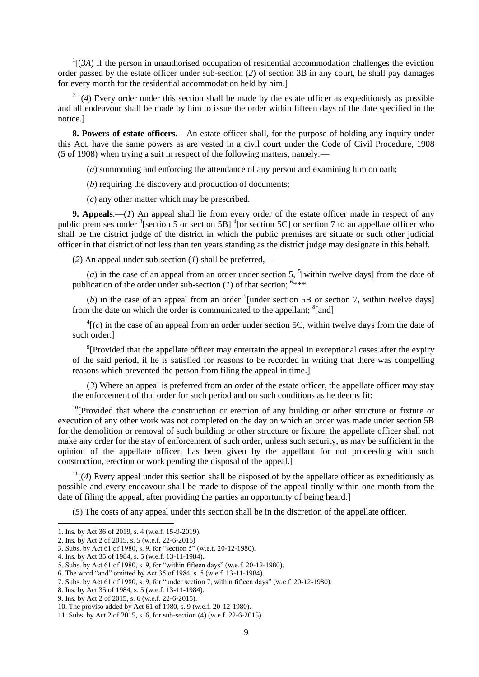$\Gamma$ [(*3A*) If the person in unauthorised occupation of residential accommodation challenges the eviction order passed by the estate officer under sub-section (*2*) of section 3B in any court, he shall pay damages for every month for the residential accommodation held by him.]

 $2 \left[ (4)$  Every order under this section shall be made by the estate officer as expeditiously as possible and all endeavour shall be made by him to issue the order within fifteen days of the date specified in the notice.]

**8. Powers of estate officers**.—An estate officer shall, for the purpose of holding any inquiry under this Act, have the same powers as are vested in a civil court under the Code of Civil Procedure, 1908 (5 of 1908) when trying a suit in respect of the following matters, namely:—

(*a*) summoning and enforcing the attendance of any person and examining him on oath;

(*b*) requiring the discovery and production of documents;

(*c*) any other matter which may be prescribed.

**9. Appeals**.—(*1*) An appeal shall lie from every order of the estate officer made in respect of any public premises under <sup>3</sup>[section 5 or section 5B] <sup>4</sup>[or section 5C] or section 7 to an appellate officer who shall be the district judge of the district in which the public premises are situate or such other judicial officer in that district of not less than ten years standing as the district judge may designate in this behalf.

(*2*) An appeal under sub-section (*1*) shall be preferred,—

(*a*) in the case of an appeal from an order under section 5,  $\frac{5}{3}$  [within twelve days] from the date of publication of the order under sub-section  $(I)$  of that section; <sup>6\*\*\*</sup>

(b) in the case of an appeal from an order  $\frac{7}{1}$  (under section 5B or section 7, within twelve days) from the date on which the order is communicated to the appellant; <sup>8</sup>[and]

 ${}^{4}$ [(*c*) in the case of an appeal from an order under section 5C, within twelve days from the date of such order:]

<sup>9</sup>[Provided that the appellate officer may entertain the appeal in exceptional cases after the expiry of the said period, if he is satisfied for reasons to be recorded in writing that there was compelling reasons which prevented the person from filing the appeal in time.]

(*3*) Where an appeal is preferred from an order of the estate officer, the appellate officer may stay the enforcement of that order for such period and on such conditions as he deems fit:

 $10$ <sup>10</sup>[Provided that where the construction or erection of any building or other structure or fixture or execution of any other work was not completed on the day on which an order was made under section 5B for the demolition or removal of such building or other structure or fixture, the appellate officer shall not make any order for the stay of enforcement of such order, unless such security, as may be sufficient in the opinion of the appellate officer, has been given by the appellant for not proceeding with such construction, erection or work pending the disposal of the appeal.]

 $11$ [(4) Every appeal under this section shall be disposed of by the appellate officer as expeditiously as possible and every endeavour shall be made to dispose of the appeal finally within one month from the date of filing the appeal, after providing the parties an opportunity of being heard.]

(*5*) The costs of any appeal under this section shall be in the discretion of the appellate officer.

**.** 

<sup>1.</sup> Ins. by Act 36 of 2019, s. 4 (w.e.f. 15-9-2019).

<sup>2.</sup> Ins. by Act 2 of 2015, s. 5 (w.e.f. 22-6-2015)

<sup>3.</sup> Subs. by Act 61 of 1980, s. 9, for "section 5" (w.e.f. 20-12-1980).

<sup>4.</sup> Ins. by Act 35 of 1984, s. 5 (w.e.f. 13-11-1984).

<sup>5.</sup> Subs. by Act 61 of 1980, s. 9, for "within fifteen days" (w.e.f. 20-12-1980).

<sup>6.</sup> The word "and" omitted by Act 35 of 1984, s. 5 (w.e.f. 13-11-1984).

<sup>7.</sup> Subs. by Act 61 of 1980, s. 9, for "under section 7, within fifteen days" (w.e.f. 20-12-1980).

<sup>8.</sup> Ins. by Act 35 of 1984, s. 5 (w.e.f. 13-11-1984).

<sup>9.</sup> Ins. by Act 2 of 2015, s. 6 (w.e.f. 22-6-2015).

<sup>10.</sup> The proviso added by Act 61 of 1980, s. 9 (w.e.f. 20-12-1980).

<sup>11.</sup> Subs. by Act 2 of 2015, s. 6, for sub-section (4) (w.e.f. 22-6-2015).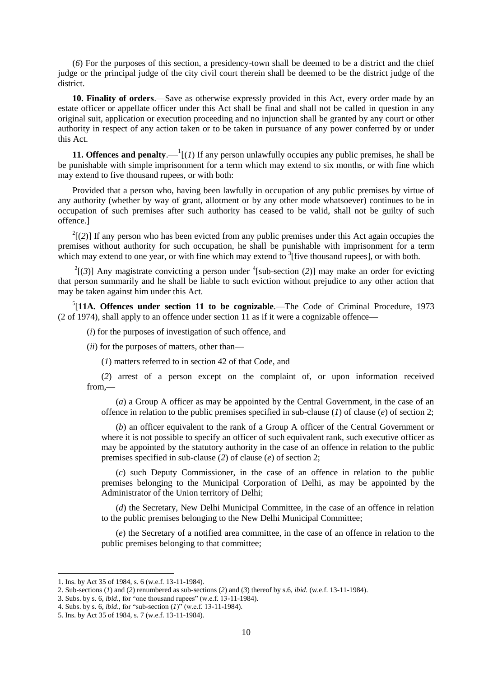(*6*) For the purposes of this section, a presidency-town shall be deemed to be a district and the chief judge or the principal judge of the city civil court therein shall be deemed to be the district judge of the district.

**10. Finality of orders**.—Save as otherwise expressly provided in this Act, every order made by an estate officer or appellate officer under this Act shall be final and shall not be called in question in any original suit, application or execution proceeding and no injunction shall be granted by any court or other authority in respect of any action taken or to be taken in pursuance of any power conferred by or under this Act.

**11. Offences and penalty.**  $\bigcup_{i=1}^{n} I(i)$  If any person unlawfully occupies any public premises, he shall be be punishable with simple imprisonment for a term which may extend to six months, or with fine which may extend to five thousand rupees, or with both:

Provided that a person who, having been lawfully in occupation of any public premises by virtue of any authority (whether by way of grant, allotment or by any other mode whatsoever) continues to be in occupation of such premises after such authority has ceased to be valid, shall not be guilty of such offence.]

 $2^2$ [(2)] If any person who has been evicted from any public premises under this Act again occupies the premises without authority for such occupation, he shall be punishable with imprisonment for a term which may extend to one year, or with fine which may extend to  $\frac{3}{3}$  [five thousand rupees], or with both.

 $2^2$ [(3)] Any magistrate convicting a person under <sup>4</sup>[sub-section (2)] may make an order for evicting that person summarily and he shall be liable to such eviction without prejudice to any other action that may be taken against him under this Act.

5 [**11A. Offences under section 11 to be cognizable**.—The Code of Criminal Procedure, 1973 (2 of 1974), shall apply to an offence under section 11 as if it were a cognizable offence—

(*i*) for the purposes of investigation of such offence, and

(*ii*) for the purposes of matters, other than—

(*1*) matters referred to in section 42 of that Code, and

(*2*) arrest of a person except on the complaint of, or upon information received from,—

(*a*) a Group A officer as may be appointed by the Central Government, in the case of an offence in relation to the public premises specified in sub-clause (*1*) of clause (*e*) of section 2;

(*b*) an officer equivalent to the rank of a Group A officer of the Central Government or where it is not possible to specify an officer of such equivalent rank, such executive officer as may be appointed by the statutory authority in the case of an offence in relation to the public premises specified in sub-clause (*2*) of clause (*e*) of section 2;

(*c*) such Deputy Commissioner, in the case of an offence in relation to the public premises belonging to the Municipal Corporation of Delhi, as may be appointed by the Administrator of the Union territory of Delhi;

(*d*) the Secretary, New Delhi Municipal Committee, in the case of an offence in relation to the public premises belonging to the New Delhi Municipal Committee;

(*e*) the Secretary of a notified area committee, in the case of an offence in relation to the public premises belonging to that committee;

<sup>1.</sup> Ins. by Act 35 of 1984, s. 6 (w.e.f. 13-11-1984).

<sup>2.</sup> Sub-sections (*1*) and (*2*) renumbered as sub-sections (*2*) and (*3*) thereof by s.6, *ibid*. (w.e.f. 13-11-1984).

<sup>3.</sup> Subs. by s. 6, *ibid*., for "one thousand rupees" (w.e.f. 13-11-1984).

<sup>4.</sup> Subs. by s. 6, *ibid*., for "sub-section (*1*)" (w.e.f. 13-11-1984).

<sup>5.</sup> Ins. by Act 35 of 1984, s. 7 (w.e.f. 13-11-1984).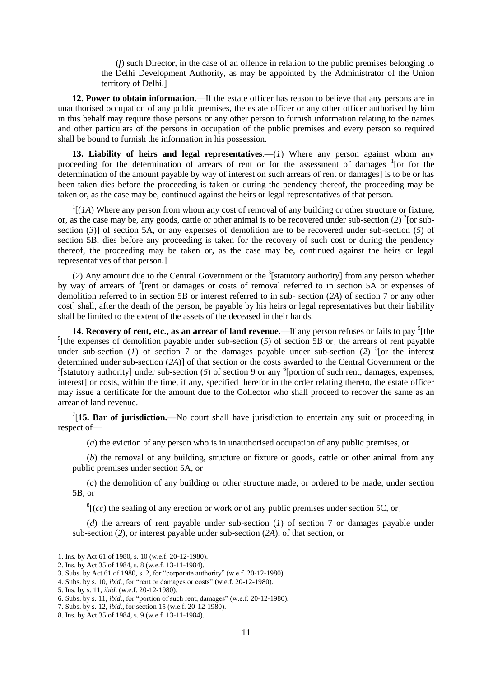(*f*) such Director, in the case of an offence in relation to the public premises belonging to the Delhi Development Authority, as may be appointed by the Administrator of the Union territory of Delhi.]

**12. Power to obtain information**.—If the estate officer has reason to believe that any persons are in unauthorised occupation of any public premises, the estate officer or any other officer authorised by him in this behalf may require those persons or any other person to furnish information relating to the names and other particulars of the persons in occupation of the public premises and every person so required shall be bound to furnish the information in his possession.

**13. Liability of heirs and legal representatives**.—(*1*) Where any person against whom any proceeding for the determination of arrears of rent or for the assessment of damages <sup>1</sup>[or for the determination of the amount payable by way of interest on such arrears of rent or damages] is to be or has been taken dies before the proceeding is taken or during the pendency thereof, the proceeding may be taken or, as the case may be, continued against the heirs or legal representatives of that person.

 $<sup>1</sup>$ [(*1A*) Where any person from whom any cost of removal of any building or other structure or fixture,</sup> or, as the case may be, any goods, cattle or other animal is to be recovered under sub-section  $(2)^{2}$  [or subsection (*3*)] of section 5A, or any expenses of demolition are to be recovered under sub-section (*5*) of section 5B, dies before any proceeding is taken for the recovery of such cost or during the pendency thereof, the proceeding may be taken or, as the case may be, continued against the heirs or legal representatives of that person.]

(2) Any amount due to the Central Government or the <sup>3</sup>[statutory authority] from any person whether by way of arrears of <sup>4</sup>[rent or damages or costs of removal referred to in section 5A or expenses of demolition referred to in section 5B or interest referred to in sub- section (*2A*) of section 7 or any other cost] shall, after the death of the person, be payable by his heirs or legal representatives but their liability shall be limited to the extent of the assets of the deceased in their hands.

**14. Recovery of rent, etc., as an arrear of land revenue**.—If any person refuses or fails to pay <sup>5</sup>[the <sup>5</sup>[the expenses of demolition payable under sub-section  $(5)$  of section  $\overline{5}B$  or] the arrears of rent payable under sub-section (*1*) of section 7 or the damages payable under sub-section (2)  $5$  [or the interest determined under sub-section (*2A*)] of that section or the costs awarded to the Central Government or the <sup>3</sup>[statutory authority] under sub-section (5) of section 9 or any  ${}^{6}$ [portion of such rent, damages, expenses, interest] or costs, within the time, if any, specified therefor in the order relating thereto, the estate officer may issue a certificate for the amount due to the Collector who shall proceed to recover the same as an arrear of land revenue.

<sup>7</sup>[15. Bar of jurisdiction.—No court shall have jurisdiction to entertain any suit or proceeding in respect of—

(*a*) the eviction of any person who is in unauthorised occupation of any public premises, or

(*b*) the removal of any building, structure or fixture or goods, cattle or other animal from any public premises under section 5A, or

(*c*) the demolition of any building or other structure made, or ordered to be made, under section 5B, or

 $\frac{8}{3}$  (*cc*) the sealing of any erection or work or of any public premises under section 5C, or

(*d*) the arrears of rent payable under sub-section (*1*) of section 7 or damages payable under sub-section (*2*), or interest payable under sub-section (*2A*), of that section, or

<sup>1.</sup> Ins. by Act 61 of 1980, s. 10 (w.e.f. 20-12-1980).

<sup>2.</sup> Ins. by Act 35 of 1984, s. 8 (w.e.f. 13-11-1984).

<sup>3.</sup> Subs. by Act 61 of 1980, s. 2, for "corporate authority" (w.e.f. 20-12-1980).

<sup>4.</sup> Subs. by s. 10, *ibid*., for "rent or damages or costs" (w.e.f. 20-12-1980).

<sup>5.</sup> Ins. by s. 11, *ibid*. (w.e.f. 20-12-1980).

<sup>6.</sup> Subs. by s. 11, *ibid*., for "portion of such rent, damages" (w.e.f. 20-12-1980).

<sup>7.</sup> Subs. by s. 12, *ibid*., for section 15 (w.e.f. 20-12-1980).

<sup>8.</sup> Ins. by Act 35 of 1984, s. 9 (w.e.f. 13-11-1984).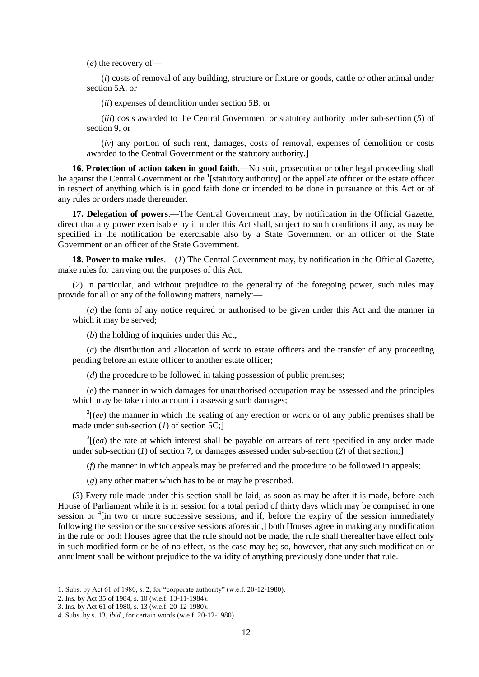(*e*) the recovery of—

(*i*) costs of removal of any building, structure or fixture or goods, cattle or other animal under section 5A, or

(*ii*) expenses of demolition under section 5B, or

(*iii*) costs awarded to the Central Government or statutory authority under sub-section (*5*) of section 9, or

(*iv*) any portion of such rent, damages, costs of removal, expenses of demolition or costs awarded to the Central Government or the statutory authority.]

**16. Protection of action taken in good faith**.—No suit, prosecution or other legal proceeding shall lie against the Central Government or the  $\frac{1}{1}$ [statutory authority] or the appellate officer or the estate officer in respect of anything which is in good faith done or intended to be done in pursuance of this Act or of any rules or orders made thereunder.

**17. Delegation of powers**.—The Central Government may, by notification in the Official Gazette, direct that any power exercisable by it under this Act shall, subject to such conditions if any, as may be specified in the notification be exercisable also by a State Government or an officer of the State Government or an officer of the State Government.

**18. Power to make rules**.—(*1*) The Central Government may, by notification in the Official Gazette, make rules for carrying out the purposes of this Act.

(*2*) In particular, and without prejudice to the generality of the foregoing power, such rules may provide for all or any of the following matters, namely:—

(*a*) the form of any notice required or authorised to be given under this Act and the manner in which it may be served;

(*b*) the holding of inquiries under this Act;

(*c*) the distribution and allocation of work to estate officers and the transfer of any proceeding pending before an estate officer to another estate officer;

(*d*) the procedure to be followed in taking possession of public premises;

(*e*) the manner in which damages for unauthorised occupation may be assessed and the principles which may be taken into account in assessing such damages;

 $2\left[ (ee)$  the manner in which the sealing of any erection or work or of any public premises shall be made under sub-section (*1*) of section 5C;]

 $3[(ea)$  the rate at which interest shall be payable on arrears of rent specified in any order made under sub-section (*1*) of section 7, or damages assessed under sub-section (*2*) of that section;]

(*f*) the manner in which appeals may be preferred and the procedure to be followed in appeals;

(*g*) any other matter which has to be or may be prescribed.

(*3*) Every rule made under this section shall be laid, as soon as may be after it is made, before each House of Parliament while it is in session for a total period of thirty days which may be comprised in one session or <sup>4</sup>[in two or more successive sessions, and if, before the expiry of the session immediately following the session or the successive sessions aforesaid,] both Houses agree in making any modification in the rule or both Houses agree that the rule should not be made, the rule shall thereafter have effect only in such modified form or be of no effect, as the case may be; so, however, that any such modification or annulment shall be without prejudice to the validity of anything previously done under that rule.

<sup>1</sup>. Subs. by Act 61 of 1980, s. 2, for "corporate authority" (w.e.f. 20-12-1980).

<sup>2.</sup> Ins. by Act 35 of 1984, s. 10 (w.e.f. 13-11-1984).

<sup>3.</sup> Ins. by Act 61 of 1980, s. 13 (w.e.f. 20-12-1980).

<sup>4.</sup> Subs. by s. 13, *ibid*., for certain words (w.e.f. 20-12-1980).